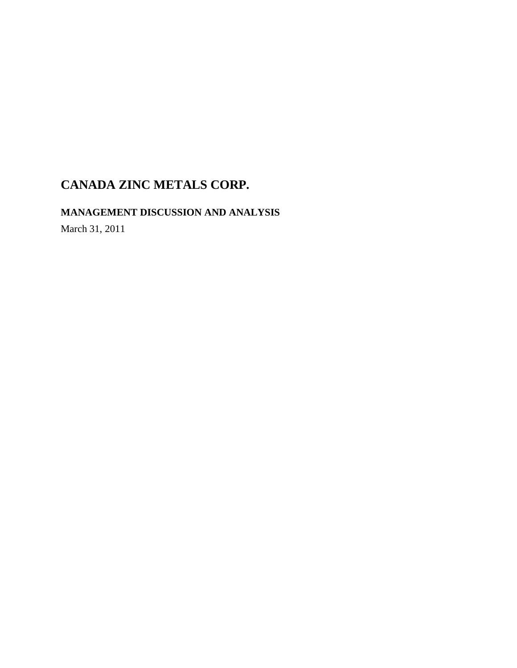**MANAGEMENT DISCUSSION AND ANALYSIS** 

March 31, 2011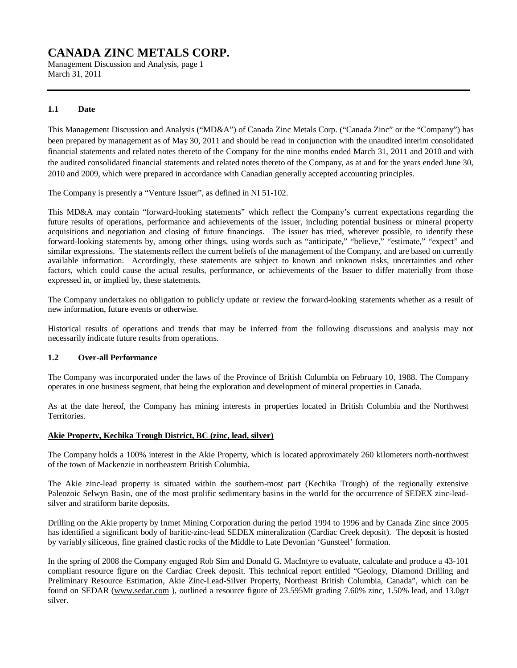Management Discussion and Analysis, page 1 March 31, 2011

### **1.1 Date**

This Management Discussion and Analysis ("MD&A") of Canada Zinc Metals Corp. ("Canada Zinc" or the "Company") has been prepared by management as of May 30, 2011 and should be read in conjunction with the unaudited interim consolidated financial statements and related notes thereto of the Company for the nine months ended March 31, 2011 and 2010 and with the audited consolidated financial statements and related notes thereto of the Company, as at and for the years ended June 30, 2010 and 2009, which were prepared in accordance with Canadian generally accepted accounting principles.

The Company is presently a "Venture Issuer", as defined in NI 51-102.

This MD&A may contain "forward-looking statements" which reflect the Company's current expectations regarding the future results of operations, performance and achievements of the issuer, including potential business or mineral property acquisitions and negotiation and closing of future financings. The issuer has tried, wherever possible, to identify these forward-looking statements by, among other things, using words such as "anticipate," "believe," "estimate," "expect" and similar expressions. The statements reflect the current beliefs of the management of the Company, and are based on currently available information. Accordingly, these statements are subject to known and unknown risks, uncertainties and other factors, which could cause the actual results, performance, or achievements of the Issuer to differ materially from those expressed in, or implied by, these statements.

The Company undertakes no obligation to publicly update or review the forward-looking statements whether as a result of new information, future events or otherwise.

Historical results of operations and trends that may be inferred from the following discussions and analysis may not necessarily indicate future results from operations.

### **1.2 Over-all Performance**

The Company was incorporated under the laws of the Province of British Columbia on February 10, 1988. The Company operates in one business segment, that being the exploration and development of mineral properties in Canada.

As at the date hereof, the Company has mining interests in properties located in British Columbia and the Northwest Territories.

### **Akie Property, Kechika Trough District, BC (zinc, lead, silver)**

The Company holds a 100% interest in the Akie Property, which is located approximately 260 kilometers north-northwest of the town of Mackenzie in northeastern British Columbia.

The Akie zinc-lead property is situated within the southern-most part (Kechika Trough) of the regionally extensive Paleozoic Selwyn Basin, one of the most prolific sedimentary basins in the world for the occurrence of SEDEX zinc-leadsilver and stratiform barite deposits.

Drilling on the Akie property by Inmet Mining Corporation during the period 1994 to 1996 and by Canada Zinc since 2005 has identified a significant body of baritic-zinc-lead SEDEX mineralization (Cardiac Creek deposit). The deposit is hosted by variably siliceous, fine grained clastic rocks of the Middle to Late Devonian 'Gunsteel' formation.

In the spring of 2008 the Company engaged Rob Sim and Donald G. MacIntyre to evaluate, calculate and produce a 43-101 compliant resource figure on the Cardiac Creek deposit. This technical report entitled "Geology, Diamond Drilling and Preliminary Resource Estimation, Akie Zinc-Lead-Silver Property, Northeast British Columbia, Canada", which can be found on SEDAR [\(www.sedar.com](http://www.sedar.com) ), outlined a resource figure of 23.595Mt grading 7.60% zinc, 1.50% lead, and 13.0g/t silver.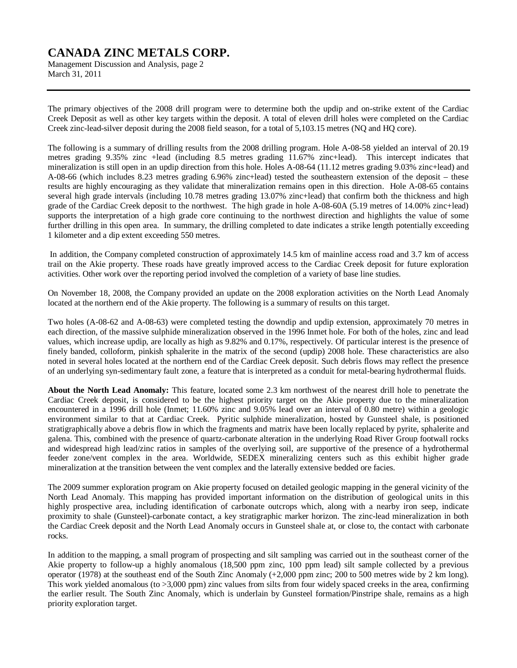Management Discussion and Analysis, page 2 March 31, 2011

The primary objectives of the 2008 drill program were to determine both the updip and on-strike extent of the Cardiac Creek Deposit as well as other key targets within the deposit. A total of eleven drill holes were completed on the Cardiac Creek zinc-lead-silver deposit during the 2008 field season, for a total of 5,103.15 metres (NQ and HQ core).

The following is a summary of drilling results from the 2008 drilling program. Hole A-08-58 yielded an interval of 20.19 metres grading 9.35% zinc +lead (including 8.5 metres grading 11.67% zinc+lead). This intercept indicates that mineralization is still open in an updip direction from this hole. Holes A-08-64 (11.12 metres grading 9.03% zinc+lead) and A-08-66 (which includes 8.23 metres grading 6.96% zinc+lead) tested the southeastern extension of the deposit – these results are highly encouraging as they validate that mineralization remains open in this direction. Hole A-08-65 contains several high grade intervals (including 10.78 metres grading 13.07% zinc+lead) that confirm both the thickness and high grade of the Cardiac Creek deposit to the northwest. The high grade in hole A-08-60A (5.19 metres of 14.00% zinc+lead) supports the interpretation of a high grade core continuing to the northwest direction and highlights the value of some further drilling in this open area. In summary, the drilling completed to date indicates a strike length potentially exceeding 1 kilometer and a dip extent exceeding 550 metres.

In addition, the Company completed construction of approximately 14.5 km of mainline access road and 3.7 km of access trail on the Akie property. These roads have greatly improved access to the Cardiac Creek deposit for future exploration activities. Other work over the reporting period involved the completion of a variety of base line studies.

On November 18, 2008, the Company provided an update on the 2008 exploration activities on the North Lead Anomaly located at the northern end of the Akie property. The following is a summary of results on this target.

Two holes (A-08-62 and A-08-63) were completed testing the downdip and updip extension, approximately 70 metres in each direction, of the massive sulphide mineralization observed in the 1996 Inmet hole. For both of the holes, zinc and lead values, which increase updip, are locally as high as 9.82% and 0.17%, respectively. Of particular interest is the presence of finely banded, colloform, pinkish sphalerite in the matrix of the second (updip) 2008 hole. These characteristics are also noted in several holes located at the northern end of the Cardiac Creek deposit. Such debris flows may reflect the presence of an underlying syn-sedimentary fault zone, a feature that is interpreted as a conduit for metal-bearing hydrothermal fluids.

**About the North Lead Anomaly:** This feature, located some 2.3 km northwest of the nearest drill hole to penetrate the Cardiac Creek deposit, is considered to be the highest priority target on the Akie property due to the mineralization encountered in a 1996 drill hole (Inmet; 11.60% zinc and 9.05% lead over an interval of 0.80 metre) within a geologic environment similar to that at Cardiac Creek. Pyritic sulphide mineralization, hosted by Gunsteel shale, is positioned stratigraphically above a debris flow in which the fragments and matrix have been locally replaced by pyrite, sphalerite and galena. This, combined with the presence of quartz-carbonate alteration in the underlying Road River Group footwall rocks and widespread high lead/zinc ratios in samples of the overlying soil, are supportive of the presence of a hydrothermal feeder zone/vent complex in the area. Worldwide, SEDEX mineralizing centers such as this exhibit higher grade mineralization at the transition between the vent complex and the laterally extensive bedded ore facies.

The 2009 summer exploration program on Akie property focused on detailed geologic mapping in the general vicinity of the North Lead Anomaly. This mapping has provided important information on the distribution of geological units in this highly prospective area, including identification of carbonate outcrops which, along with a nearby iron seep, indicate proximity to shale (Gunsteel)-carbonate contact, a key stratigraphic marker horizon. The zinc-lead mineralization in both the Cardiac Creek deposit and the North Lead Anomaly occurs in Gunsteel shale at, or close to, the contact with carbonate rocks.

In addition to the mapping, a small program of prospecting and silt sampling was carried out in the southeast corner of the Akie property to follow-up a highly anomalous (18,500 ppm zinc, 100 ppm lead) silt sample collected by a previous operator (1978) at the southeast end of the South Zinc Anomaly (+2,000 ppm zinc; 200 to 500 metres wide by 2 km long). This work yielded anomalous (to >3,000 ppm) zinc values from silts from four widely spaced creeks in the area, confirming the earlier result. The South Zinc Anomaly, which is underlain by Gunsteel formation/Pinstripe shale, remains as a high priority exploration target.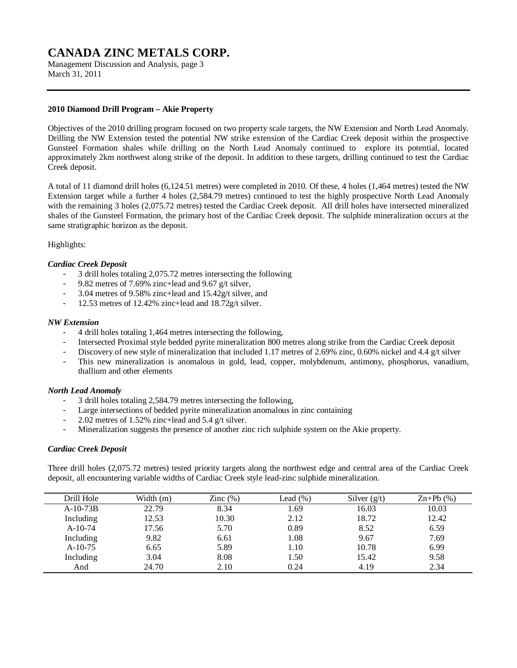Management Discussion and Analysis, page 3 March 31, 2011

### **2010 Diamond Drill Program – Akie Property**

Objectives of the 2010 drilling program focused on two property scale targets, the NW Extension and North Lead Anomaly. Drilling the NW Extension tested the potential NW strike extension of the Cardiac Creek deposit within the prospective Gunsteel Formation shales while drilling on the North Lead Anomaly continued to explore its potential, located approximately 2km northwest along strike of the deposit. In addition to these targets, drilling continued to test the Cardiac Creek deposit.

A total of 11 diamond drill holes (6,124.51 metres) were completed in 2010. Of these, 4 holes (1,464 metres) tested the NW Extension target while a further 4 holes (2,584.79 metres) continued to test the highly prospective North Lead Anomaly with the remaining 3 holes (2,075.72 metres) tested the Cardiac Creek deposit. All drill holes have intersected mineralized shales of the Gunsteel Formation, the primary host of the Cardiac Creek deposit. The sulphide mineralization occurs at the same stratigraphic horizon as the deposit.

### Highlights:

### *Cardiac Creek Deposit*

- 3 drill holes totaling 2,075.72 metres intersecting the following
- 9.82 metres of 7.69% zinc+lead and 9.67 g/t silver,
- 3.04 metres of 9.58% zinc+lead and 15.42g/t silver, and
- 12.53 metres of 12.42% zinc+lead and  $18.72g/t$  silver.

#### *NW Extension*

- 4 drill holes totaling 1,464 metres intersecting the following,
- Intersected Proximal style bedded pyrite mineralization 800 metres along strike from the Cardiac Creek deposit
- Discovery of new style of mineralization that included 1.17 metres of 2.69% zinc, 0.60% nickel and 4.4 g/t silver
- This new mineralization is anomalous in gold, lead, copper, molybdenum, antimony, phosphorus, vanadium, thallium and other elements

### *North Lead Anomaly*

- 3 drill holes totaling 2,584.79 metres intersecting the following,
- Large intersections of bedded pyrite mineralization anomalous in zinc containing
- 2.02 metres of 1.52% zinc+lead and 5.4 g/t silver.
- Mineralization suggests the presence of another zinc rich sulphide system on the Akie property.

#### *Cardiac Creek Deposit*

Three drill holes (2,075.72 metres) tested priority targets along the northwest edge and central area of the Cardiac Creek deposit, all encountering variable widths of Cardiac Creek style lead-zinc sulphide mineralization.

| Drill Hole | Width $(m)$ | Zinc $(\%)$ | Lead $(\%)$ | Silver $(g/t)$ | $\text{Zn+Pb}$ (%) |
|------------|-------------|-------------|-------------|----------------|--------------------|
| $A-10-73B$ | 22.79       | 8.34        | 1.69        | 16.03          | 10.03              |
| Including  | 12.53       | 10.30       | 2.12        | 18.72          | 12.42              |
| $A-10-74$  | 17.56       | 5.70        | 0.89        | 8.52           | 6.59               |
| Including  | 9.82        | 6.61        | 1.08        | 9.67           | 7.69               |
| $A-10-75$  | 6.65        | 5.89        | 1.10        | 10.78          | 6.99               |
| Including  | 3.04        | 8.08        | 1.50        | 15.42          | 9.58               |
| And        | 24.70       | 2.10        | 0.24        | 4.19           | 2.34               |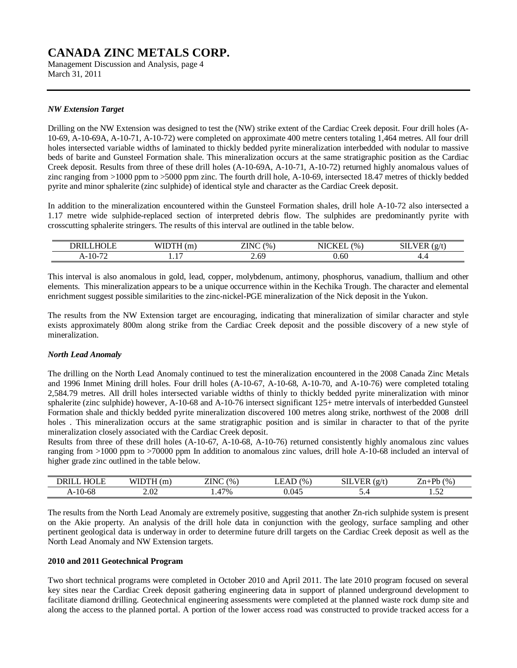Management Discussion and Analysis, page 4 March 31, 2011

### *NW Extension Target*

Drilling on the NW Extension was designed to test the (NW) strike extent of the Cardiac Creek deposit. Four drill holes (A-10-69, A-10-69A, A-10-71, A-10-72) were completed on approximate 400 metre centers totaling 1,464 metres. All four drill holes intersected variable widths of laminated to thickly bedded pyrite mineralization interbedded with nodular to massive beds of barite and Gunsteel Formation shale. This mineralization occurs at the same stratigraphic position as the Cardiac Creek deposit. Results from three of these drill holes (A-10-69A, A-10-71, A-10-72) returned highly anomalous values of zinc ranging from >1000 ppm to >5000 ppm zinc. The fourth drill hole, A-10-69, intersected 18.47 metres of thickly bedded pyrite and minor sphalerite (zinc sulphide) of identical style and character as the Cardiac Creek deposit.

In addition to the mineralization encountered within the Gunsteel Formation shales, drill hole A-10-72 also intersected a 1.17 metre wide sulphide-replaced section of interpreted debris flow. The sulphides are predominantly pyrite with crosscutting sphalerite stringers. The results of this interval are outlined in the table below.

| $- - - - -$<br>DRII                                      | $\sim$<br>.<br><br>. | $-$<br><b>711</b><br>$^{(0)}$<br>′'N∪<br>∠⊥⊥ | $-772$<br>$\%$<br>NK<br>$\mathbf{N}$<br>. . | SIL<br>$\sim$<br>. .<br>.<br>∽ |
|----------------------------------------------------------|----------------------|----------------------------------------------|---------------------------------------------|--------------------------------|
| $\overline{\phantom{a}}$<br>$\Lambda$ -10-7 <sup>-</sup> | $\sim$<br>.          | 6C<br>$\sim\!\!\sim\!$                       | 0.60                                        | т.-                            |

This interval is also anomalous in gold, lead, copper, molybdenum, antimony, phosphorus, vanadium, thallium and other elements. This mineralization appears to be a unique occurrence within in the Kechika Trough. The character and elemental enrichment suggest possible similarities to the zinc-nickel-PGE mineralization of the Nick deposit in the Yukon.

The results from the NW Extension target are encouraging, indicating that mineralization of similar character and style exists approximately 800m along strike from the Cardiac Creek deposit and the possible discovery of a new style of mineralization.

### *North Lead Anomaly*

The drilling on the North Lead Anomaly continued to test the mineralization encountered in the 2008 Canada Zinc Metals and 1996 Inmet Mining drill holes. Four drill holes (A-10-67, A-10-68, A-10-70, and A-10-76) were completed totaling 2,584.79 metres. All drill holes intersected variable widths of thinly to thickly bedded pyrite mineralization with minor sphalerite (zinc sulphide) however, A-10-68 and A-10-76 intersect significant 125+ metre intervals of interbedded Gunsteel Formation shale and thickly bedded pyrite mineralization discovered 100 metres along strike, northwest of the 2008 drill holes . This mineralization occurs at the same stratigraphic position and is similar in character to that of the pyrite mineralization closely associated with the Cardiac Creek deposit.

Results from three of these drill holes (A-10-67, A-10-68, A-10-76) returned consistently highly anomalous zinc values ranging from >1000 ppm to >70000 ppm In addition to anomalous zinc values, drill hole A-10-68 included an interval of higher grade zinc outlined in the table below.

| $ -$<br>ואנ<br>-17           |                                    | T N<br>$^{(0)}$ | $^{(0)}$ | $\sim$<br>ш | Dŀ.<br>$\frac{1}{96}$ |
|------------------------------|------------------------------------|-----------------|----------|-------------|-----------------------|
| $\epsilon$<br>1 Λ<br>A-10-00 | $\Omega$<br>$\sim\!\!\sim\!\!\sim$ | $17\%$          | Λ0       | ◡.−         | $ -$<br>⊥ ⊶ ∠∠        |

The results from the North Lead Anomaly are extremely positive, suggesting that another Zn-rich sulphide system is present on the Akie property. An analysis of the drill hole data in conjunction with the geology, surface sampling and other pertinent geological data is underway in order to determine future drill targets on the Cardiac Creek deposit as well as the North Lead Anomaly and NW Extension targets.

#### **2010 and 2011 Geotechnical Program**

Two short technical programs were completed in October 2010 and April 2011. The late 2010 program focused on several key sites near the Cardiac Creek deposit gathering engineering data in support of planned underground development to facilitate diamond drilling. Geotechnical engineering assessments were completed at the planned waste rock dump site and along the access to the planned portal. A portion of the lower access road was constructed to provide tracked access for a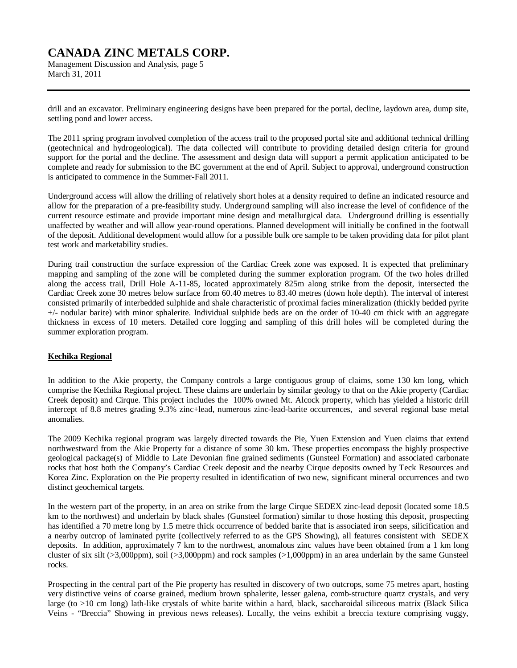Management Discussion and Analysis, page 5 March 31, 2011

drill and an excavator. Preliminary engineering designs have been prepared for the portal, decline, laydown area, dump site, settling pond and lower access.

The 2011 spring program involved completion of the access trail to the proposed portal site and additional technical drilling (geotechnical and hydrogeological). The data collected will contribute to providing detailed design criteria for ground support for the portal and the decline. The assessment and design data will support a permit application anticipated to be complete and ready for submission to the BC government at the end of April. Subject to approval, underground construction is anticipated to commence in the Summer-Fall 2011.

Underground access will allow the drilling of relatively short holes at a density required to define an indicated resource and allow for the preparation of a pre-feasibility study. Underground sampling will also increase the level of confidence of the current resource estimate and provide important mine design and metallurgical data. Underground drilling is essentially unaffected by weather and will allow year-round operations. Planned development will initially be confined in the footwall of the deposit. Additional development would allow for a possible bulk ore sample to be taken providing data for pilot plant test work and marketability studies.

During trail construction the surface expression of the Cardiac Creek zone was exposed. It is expected that preliminary mapping and sampling of the zone will be completed during the summer exploration program. Of the two holes drilled along the access trail, Drill Hole A-11-85, located approximately 825m along strike from the deposit, intersected the Cardiac Creek zone 30 metres below surface from 60.40 metres to 83.40 metres (down hole depth). The interval of interest consisted primarily of interbedded sulphide and shale characteristic of proximal facies mineralization (thickly bedded pyrite +/- nodular barite) with minor sphalerite. Individual sulphide beds are on the order of 10-40 cm thick with an aggregate thickness in excess of 10 meters. Detailed core logging and sampling of this drill holes will be completed during the summer exploration program.

### **Kechika Regional**

In addition to the Akie property, the Company controls a large contiguous group of claims, some 130 km long, which comprise the Kechika Regional project. These claims are underlain by similar geology to that on the Akie property (Cardiac Creek deposit) and Cirque. This project includes the 100% owned Mt. Alcock property, which has yielded a historic drill intercept of 8.8 metres grading 9.3% zinc+lead, numerous zinc-lead-barite occurrences, and several regional base metal anomalies.

The 2009 Kechika regional program was largely directed towards the Pie, Yuen Extension and Yuen claims that extend northwestward from the Akie Property for a distance of some 30 km. These properties encompass the highly prospective geological package(s) of Middle to Late Devonian fine grained sediments (Gunsteel Formation) and associated carbonate rocks that host both the Company's Cardiac Creek deposit and the nearby Cirque deposits owned by Teck Resources and Korea Zinc. Exploration on the Pie property resulted in identification of two new, significant mineral occurrences and two distinct geochemical targets.

In the western part of the property, in an area on strike from the large Cirque SEDEX zinc-lead deposit (located some 18.5 km to the northwest) and underlain by black shales (Gunsteel formation) similar to those hosting this deposit, prospecting has identified a 70 metre long by 1.5 metre thick occurrence of bedded barite that is associated iron seeps, silicification and a nearby outcrop of laminated pyrite (collectively referred to as the GPS Showing), all features consistent with SEDEX deposits. In addition, approximately 7 km to the northwest, anomalous zinc values have been obtained from a 1 km long cluster of six silt ( $>3,000$ ppm), soil ( $>3,000$ ppm) and rock samples ( $>1,000$ ppm) in an area underlain by the same Gunsteel rocks.

Prospecting in the central part of the Pie property has resulted in discovery of two outcrops, some 75 metres apart, hosting very distinctive veins of coarse grained, medium brown sphalerite, lesser galena, comb-structure quartz crystals, and very large (to >10 cm long) lath-like crystals of white barite within a hard, black, saccharoidal siliceous matrix (Black Silica Veins - "Breccia" Showing in previous news releases). Locally, the veins exhibit a breccia texture comprising vuggy,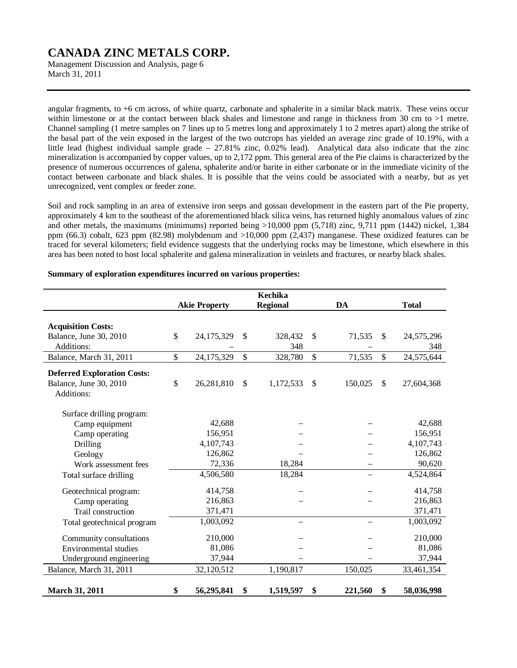Management Discussion and Analysis, page 6 March 31, 2011

angular fragments, to +6 cm across, of white quartz, carbonate and sphalerite in a similar black matrix. These veins occur within limestone or at the contact between black shales and limestone and range in thickness from 30 cm to >1 metre. Channel sampling (1 metre samples on 7 lines up to 5 metres long and approximately 1 to 2 metres apart) along the strike of the basal part of the vein exposed in the largest of the two outcrops has yielded an average zinc grade of 10.19%, with a little lead (highest individual sample grade – 27.81% zinc, 0.02% lead). Analytical data also indicate that the zinc mineralization is accompanied by copper values, up to 2,172 ppm. This general area of the Pie claims is characterized by the presence of numerous occurrences of galena, sphalerite and/or barite in either carbonate or in the immediate vicinity of the contact between carbonate and black shales. It is possible that the veins could be associated with a nearby, but as yet unrecognized, vent complex or feeder zone.

Soil and rock sampling in an area of extensive iron seeps and gossan development in the eastern part of the Pie property, approximately 4 km to the southeast of the aforementioned black silica veins, has returned highly anomalous values of zinc and other metals, the maximums (minimums) reported being >10,000 ppm (5,718) zinc, 9,711 ppm (1442) nickel, 1,384 ppm (66.3) cobalt, 623 ppm (82.98) molybdenum and >10,000 ppm (2,437) manganese. These oxidized features can be traced for several kilometers; field evidence suggests that the underlying rocks may be limestone, which elsewhere in this area has been noted to host local sphalerite and galena mineralization in veinlets and fractures, or nearby black shales.

|                                      |                      | <b>Kechika</b>  |               |                  |
|--------------------------------------|----------------------|-----------------|---------------|------------------|
|                                      | <b>Akie Property</b> | <b>Regional</b> | <b>DA</b>     | <b>Total</b>     |
|                                      |                      |                 |               |                  |
| <b>Acquisition Costs:</b>            | \$                   | \$              |               | \$               |
| Balance, June 30, 2010<br>Additions: | 24,175,329           | 328,432         | \$<br>71,535  | 24,575,296       |
|                                      | \$                   | 348             | \$            | 348              |
| Balance, March 31, 2011              | 24,175,329           | \$<br>328,780   | 71,535        | \$<br>24,575,644 |
| <b>Deferred Exploration Costs:</b>   |                      |                 |               |                  |
| Balance, June 30, 2010               | \$<br>26,281,810     | \$<br>1,172,533 | \$<br>150,025 | \$<br>27,604,368 |
| Additions:                           |                      |                 |               |                  |
| Surface drilling program:            |                      |                 |               |                  |
| Camp equipment                       | 42,688               |                 |               | 42,688           |
| Camp operating                       | 156,951              |                 |               | 156,951          |
| Drilling                             | 4,107,743            |                 |               | 4,107,743        |
| Geology                              | 126,862              |                 |               | 126,862          |
| Work assessment fees                 | 72,336               | 18,284          |               | 90,620           |
| Total surface drilling               | 4,506,580            | 18,284          |               | 4,524,864        |
| Geotechnical program:                | 414,758              |                 |               | 414,758          |
| Camp operating                       | 216,863              |                 |               | 216,863          |
| Trail construction                   | 371,471              |                 |               | 371,471          |
| Total geotechnical program           | 1,003,092            |                 |               | 1,003,092        |
| Community consultations              | 210,000              |                 |               | 210,000          |
| Environmental studies                | 81,086               |                 |               | 81,086           |
| Underground engineering              | 37,944               |                 |               | 37,944           |
| Balance, March 31, 2011              | 32,120,512           | 1,190,817       | 150,025       | 33,461,354       |
| <b>March 31, 2011</b>                | \$<br>56,295,841     | \$<br>1,519,597 | \$<br>221,560 | \$<br>58,036,998 |

#### **Summary of exploration expenditures incurred on various properties:**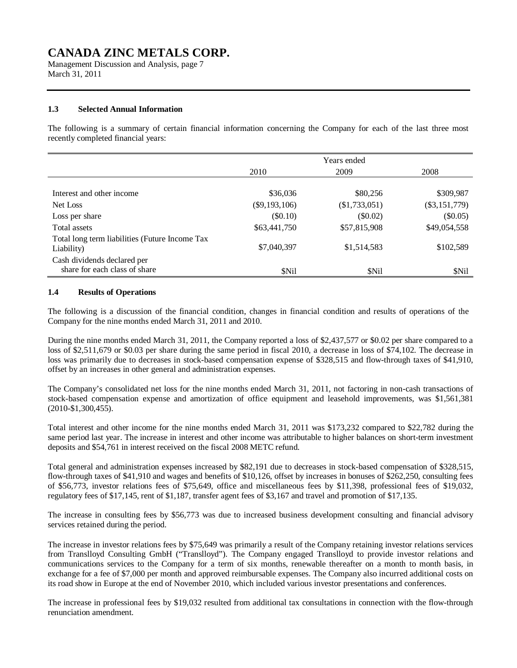Management Discussion and Analysis, page 7 March 31, 2011

### **1.3 Selected Annual Information**

The following is a summary of certain financial information concerning the Company for each of the last three most recently completed financial years:

|                                                              | Years ended     |                 |                 |  |
|--------------------------------------------------------------|-----------------|-----------------|-----------------|--|
|                                                              | 2010            | 2009            | 2008            |  |
|                                                              |                 |                 |                 |  |
| Interest and other income                                    | \$36,036        | \$80,256        | \$309,987       |  |
| Net Loss                                                     | $(\$9,193,106)$ | $(\$1,733,051)$ | $(\$3,151,779)$ |  |
| Loss per share                                               | (\$0.10)        | $(\$0.02)$      | $(\$0.05)$      |  |
| Total assets                                                 | \$63,441,750    | \$57,815,908    | \$49,054,558    |  |
| Total long term liabilities (Future Income Tax<br>Liability) | \$7,040,397     | \$1,514,583     | \$102,589       |  |
| Cash dividends declared per<br>share for each class of share | \$Nil           | \$Nil           | \$Nil           |  |

### **1.4 Results of Operations**

The following is a discussion of the financial condition, changes in financial condition and results of operations of the Company for the nine months ended March 31, 2011 and 2010.

During the nine months ended March 31, 2011, the Company reported a loss of \$2,437,577 or \$0.02 per share compared to a loss of \$2,511,679 or \$0.03 per share during the same period in fiscal 2010, a decrease in loss of \$74,102. The decrease in loss was primarily due to decreases in stock-based compensation expense of \$328,515 and flow-through taxes of \$41,910, offset by an increases in other general and administration expenses.

The Company's consolidated net loss for the nine months ended March 31, 2011, not factoring in non-cash transactions of stock-based compensation expense and amortization of office equipment and leasehold improvements, was \$1,561,381 (2010-\$1,300,455).

Total interest and other income for the nine months ended March 31, 2011 was \$173,232 compared to \$22,782 during the same period last year. The increase in interest and other income was attributable to higher balances on short-term investment deposits and \$54,761 in interest received on the fiscal 2008 METC refund.

Total general and administration expenses increased by \$82,191 due to decreases in stock-based compensation of \$328,515, flow-through taxes of \$41,910 and wages and benefits of \$10,126, offset by increases in bonuses of \$262,250, consulting fees of \$56,773, investor relations fees of \$75,649, office and miscellaneous fees by \$11,398, professional fees of \$19,032, regulatory fees of \$17,145, rent of \$1,187, transfer agent fees of \$3,167 and travel and promotion of \$17,135.

The increase in consulting fees by \$56,773 was due to increased business development consulting and financial advisory services retained during the period.

The increase in investor relations fees by \$75,649 was primarily a result of the Company retaining investor relations services from Translloyd Consulting GmbH ("Translloyd"). The Company engaged Translloyd to provide investor relations and communications services to the Company for a term of six months, renewable thereafter on a month to month basis, in exchange for a fee of \$7,000 per month and approved reimbursable expenses. The Company also incurred additional costs on its road show in Europe at the end of November 2010, which included various investor presentations and conferences.

The increase in professional fees by \$19,032 resulted from additional tax consultations in connection with the flow-through renunciation amendment.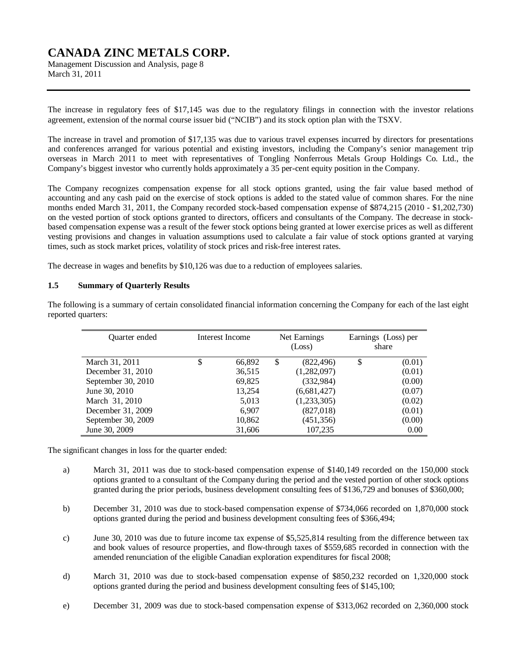Management Discussion and Analysis, page 8 March 31, 2011

The increase in regulatory fees of \$17,145 was due to the regulatory filings in connection with the investor relations agreement, extension of the normal course issuer bid ("NCIB") and its stock option plan with the TSXV.

The increase in travel and promotion of \$17,135 was due to various travel expenses incurred by directors for presentations and conferences arranged for various potential and existing investors, including the Company's senior management trip overseas in March 2011 to meet with representatives of Tongling Nonferrous Metals Group Holdings Co. Ltd., the Company's biggest investor who currently holds approximately a 35 per-cent equity position in the Company.

The Company recognizes compensation expense for all stock options granted, using the fair value based method of accounting and any cash paid on the exercise of stock options is added to the stated value of common shares. For the nine months ended March 31, 2011, the Company recorded stock-based compensation expense of \$874,215 (2010 - \$1,202,730) on the vested portion of stock options granted to directors, officers and consultants of the Company. The decrease in stockbased compensation expense was a result of the fewer stock options being granted at lower exercise prices as well as different vesting provisions and changes in valuation assumptions used to calculate a fair value of stock options granted at varying times, such as stock market prices, volatility of stock prices and risk-free interest rates.

The decrease in wages and benefits by \$10,126 was due to a reduction of employees salaries.

### **1.5 Summary of Quarterly Results**

| <b>Ouarter</b> ended | Interest Income |        | Net Earnings<br>(Loss) |             | Earnings (Loss) per<br>share |        |
|----------------------|-----------------|--------|------------------------|-------------|------------------------------|--------|
| March 31, 2011       |                 | 66,892 | \$                     | (822, 496)  | \$                           | (0.01) |
| December 31, 2010    |                 | 36,515 |                        | (1,282,097) |                              | (0.01) |
| September 30, 2010   |                 | 69,825 |                        | (332, 984)  |                              | (0.00) |
| June 30, 2010        |                 | 13,254 |                        | (6,681,427) |                              | (0.07) |
| March 31, 2010       |                 | 5,013  |                        | (1,233,305) |                              | (0.02) |
| December 31, 2009    |                 | 6,907  |                        | (827,018)   |                              | (0.01) |
| September 30, 2009   |                 | 10,862 |                        | (451, 356)  |                              | (0.00) |
| June 30, 2009        |                 | 31,606 |                        | 107,235     |                              | 0.00   |

The following is a summary of certain consolidated financial information concerning the Company for each of the last eight reported quarters:

The significant changes in loss for the quarter ended:

- a) March 31, 2011 was due to stock-based compensation expense of \$140,149 recorded on the 150,000 stock options granted to a consultant of the Company during the period and the vested portion of other stock options granted during the prior periods, business development consulting fees of \$136,729 and bonuses of \$360,000;
- b) December 31, 2010 was due to stock-based compensation expense of \$734,066 recorded on 1,870,000 stock options granted during the period and business development consulting fees of \$366,494;
- c) June 30, 2010 was due to future income tax expense of \$5,525,814 resulting from the difference between tax and book values of resource properties, and flow-through taxes of \$559,685 recorded in connection with the amended renunciation of the eligible Canadian exploration expenditures for fiscal 2008;
- d) March 31, 2010 was due to stock-based compensation expense of \$850,232 recorded on 1,320,000 stock options granted during the period and business development consulting fees of \$145,100;
- e) December 31, 2009 was due to stock-based compensation expense of \$313,062 recorded on 2,360,000 stock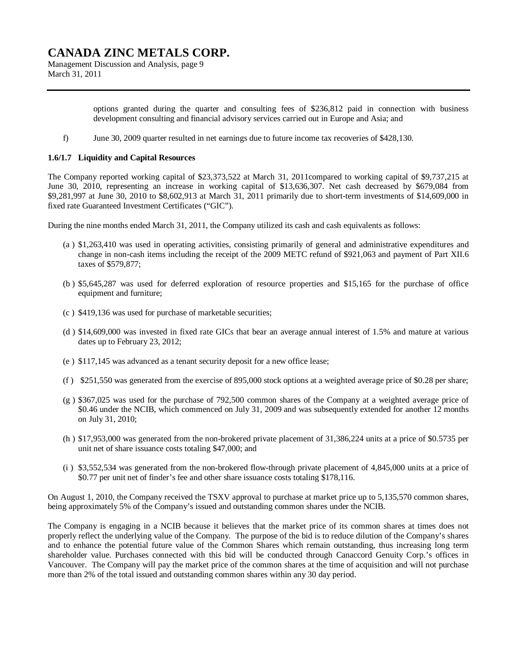Management Discussion and Analysis, page 9 March 31, 2011

> options granted during the quarter and consulting fees of \$236,812 paid in connection with business development consulting and financial advisory services carried out in Europe and Asia; and

f) June 30, 2009 quarter resulted in net earnings due to future income tax recoveries of \$428,130.

#### **1.6/1.7 Liquidity and Capital Resources**

The Company reported working capital of \$23,373,522 at March 31, 2011compared to working capital of \$9,737,215 at June 30, 2010, representing an increase in working capital of \$13,636,307. Net cash decreased by \$679,084 from \$9,281,997 at June 30, 2010 to \$8,602,913 at March 31, 2011 primarily due to short-term investments of \$14,609,000 in fixed rate Guaranteed Investment Certificates ("GIC").

During the nine months ended March 31, 2011, the Company utilized its cash and cash equivalents as follows:

- (a ) \$1,263,410 was used in operating activities, consisting primarily of general and administrative expenditures and change in non-cash items including the receipt of the 2009 METC refund of \$921,063 and payment of Part XII.6 taxes of \$579,877;
- (b ) \$5,645,287 was used for deferred exploration of resource properties and \$15,165 for the purchase of office equipment and furniture;
- (c ) \$419,136 was used for purchase of marketable securities;
- (d ) \$14,609,000 was invested in fixed rate GICs that bear an average annual interest of 1.5% and mature at various dates up to February 23, 2012;
- (e ) \$117,145 was advanced as a tenant security deposit for a new office lease;
- (f ) \$251,550 was generated from the exercise of 895,000 stock options at a weighted average price of \$0.28 per share;
- (g ) \$367,025 was used for the purchase of 792,500 common shares of the Company at a weighted average price of \$0.46 under the NCIB, which commenced on July 31, 2009 and was subsequently extended for another 12 months on July 31, 2010;
- (h ) \$17,953,000 was generated from the non-brokered private placement of 31,386,224 units at a price of \$0.5735 per unit net of share issuance costs totaling \$47,000; and
- (i ) \$3,552,534 was generated from the non-brokered flow-through private placement of 4,845,000 units at a price of \$0.77 per unit net of finder's fee and other share issuance costs totaling \$178,116.

On August 1, 2010, the Company received the TSXV approval to purchase at market price up to 5,135,570 common shares, being approximately 5% of the Company's issued and outstanding common shares under the NCIB.

The Company is engaging in a NCIB because it believes that the market price of its common shares at times does not properly reflect the underlying value of the Company. The purpose of the bid is to reduce dilution of the Company's shares and to enhance the potential future value of the Common Shares which remain outstanding, thus increasing long term shareholder value. Purchases connected with this bid will be conducted through Canaccord Genuity Corp.'s offices in Vancouver. The Company will pay the market price of the common shares at the time of acquisition and will not purchase more than 2% of the total issued and outstanding common shares within any 30 day period.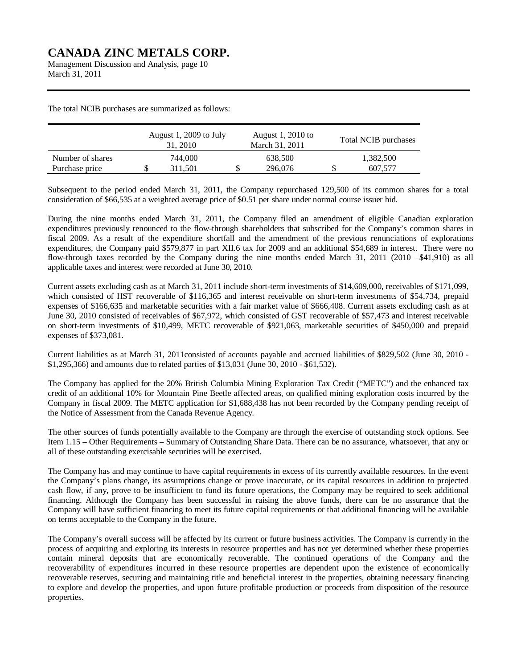Management Discussion and Analysis, page 10 March 31, 2011

The total NCIB purchases are summarized as follows:

|                  | August 1, 2009 to July<br>31, 2010 | August 1, 2010 to<br>March 31, 2011 | <b>Total NCIB purchases</b> |
|------------------|------------------------------------|-------------------------------------|-----------------------------|
| Number of shares | 744.000                            | 638,500                             | 1,382,500                   |
| Purchase price   | 311.501                            | 296,076                             | 607.577                     |

Subsequent to the period ended March 31, 2011, the Company repurchased 129,500 of its common shares for a total consideration of \$66,535 at a weighted average price of \$0.51 per share under normal course issuer bid.

During the nine months ended March 31, 2011, the Company filed an amendment of eligible Canadian exploration expenditures previously renounced to the flow-through shareholders that subscribed for the Company's common shares in fiscal 2009. As a result of the expenditure shortfall and the amendment of the previous renunciations of explorations expenditures, the Company paid \$579,877 in part XII.6 tax for 2009 and an additional \$54,689 in interest. There were no flow-through taxes recorded by the Company during the nine months ended March 31, 2011 (2010 –\$41,910) as all applicable taxes and interest were recorded at June 30, 2010.

Current assets excluding cash as at March 31, 2011 include short-term investments of \$14,609,000, receivables of \$171,099, which consisted of HST recoverable of \$116,365 and interest receivable on short-term investments of \$54,734, prepaid expenses of \$166,635 and marketable securities with a fair market value of \$666,408. Current assets excluding cash as at June 30, 2010 consisted of receivables of \$67,972, which consisted of GST recoverable of \$57,473 and interest receivable on short-term investments of \$10,499, METC recoverable of \$921,063, marketable securities of \$450,000 and prepaid expenses of \$373,081.

Current liabilities as at March 31, 2011consisted of accounts payable and accrued liabilities of \$829,502 (June 30, 2010 - \$1,295,366) and amounts due to related parties of \$13,031 (June 30, 2010 - \$61,532).

The Company has applied for the 20% British Columbia Mining Exploration Tax Credit ("METC") and the enhanced tax credit of an additional 10% for Mountain Pine Beetle affected areas, on qualified mining exploration costs incurred by the Company in fiscal 2009. The METC application for \$1,688,438 has not been recorded by the Company pending receipt of the Notice of Assessment from the Canada Revenue Agency.

The other sources of funds potentially available to the Company are through the exercise of outstanding stock options. See Item 1.15 – Other Requirements – Summary of Outstanding Share Data. There can be no assurance, whatsoever, that any or all of these outstanding exercisable securities will be exercised.

The Company has and may continue to have capital requirements in excess of its currently available resources. In the event the Company's plans change, its assumptions change or prove inaccurate, or its capital resources in addition to projected cash flow, if any, prove to be insufficient to fund its future operations, the Company may be required to seek additional financing. Although the Company has been successful in raising the above funds, there can be no assurance that the Company will have sufficient financing to meet its future capital requirements or that additional financing will be available on terms acceptable to the Company in the future.

The Company's overall success will be affected by its current or future business activities. The Company is currently in the process of acquiring and exploring its interests in resource properties and has not yet determined whether these properties contain mineral deposits that are economically recoverable. The continued operations of the Company and the recoverability of expenditures incurred in these resource properties are dependent upon the existence of economically recoverable reserves, securing and maintaining title and beneficial interest in the properties, obtaining necessary financing to explore and develop the properties, and upon future profitable production or proceeds from disposition of the resource properties.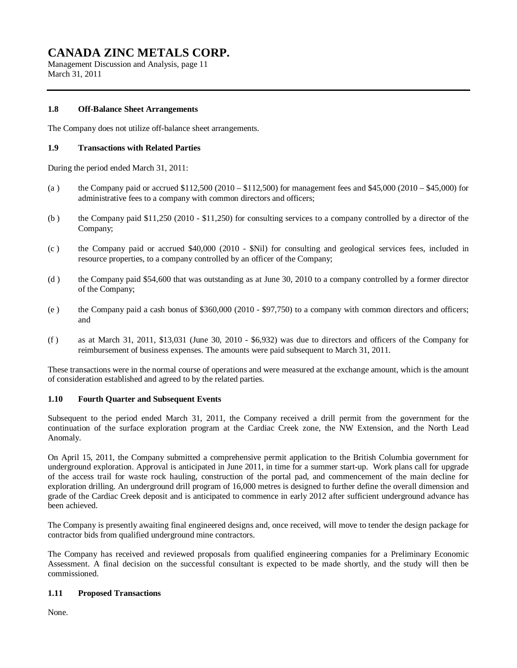Management Discussion and Analysis, page 11 March 31, 2011

### **1.8 Off-Balance Sheet Arrangements**

The Company does not utilize off-balance sheet arrangements.

### **1.9 Transactions with Related Parties**

During the period ended March 31, 2011:

- (a) the Company paid or accrued  $$112,500 (2010 $112,500)$  for management fees and  $$45,000 (2010 $45,000)$  for administrative fees to a company with common directors and officers;
- (b ) the Company paid \$11,250 (2010 \$11,250) for consulting services to a company controlled by a director of the Company;
- (c ) the Company paid or accrued \$40,000 (2010 \$Nil) for consulting and geological services fees, included in resource properties, to a company controlled by an officer of the Company;
- (d ) the Company paid \$54,600 that was outstanding as at June 30, 2010 to a company controlled by a former director of the Company;
- (e ) the Company paid a cash bonus of \$360,000 (2010 \$97,750) to a company with common directors and officers; and
- (f ) as at March 31, 2011, \$13,031 (June 30, 2010 \$6,932) was due to directors and officers of the Company for reimbursement of business expenses. The amounts were paid subsequent to March 31, 2011.

These transactions were in the normal course of operations and were measured at the exchange amount, which is the amount of consideration established and agreed to by the related parties.

### **1.10 Fourth Quarter and Subsequent Events**

Subsequent to the period ended March 31, 2011, the Company received a drill permit from the government for the continuation of the surface exploration program at the Cardiac Creek zone, the NW Extension, and the North Lead Anomaly.

On April 15, 2011, the Company submitted a comprehensive permit application to the British Columbia government for underground exploration. Approval is anticipated in June 2011, in time for a summer start-up. Work plans call for upgrade of the access trail for waste rock hauling, construction of the portal pad, and commencement of the main decline for exploration drilling. An underground drill program of 16,000 metres is designed to further define the overall dimension and grade of the Cardiac Creek deposit and is anticipated to commence in early 2012 after sufficient underground advance has been achieved.

The Company is presently awaiting final engineered designs and, once received, will move to tender the design package for contractor bids from qualified underground mine contractors.

The Company has received and reviewed proposals from qualified engineering companies for a Preliminary Economic Assessment. A final decision on the successful consultant is expected to be made shortly, and the study will then be commissioned.

### **1.11 Proposed Transactions**

None.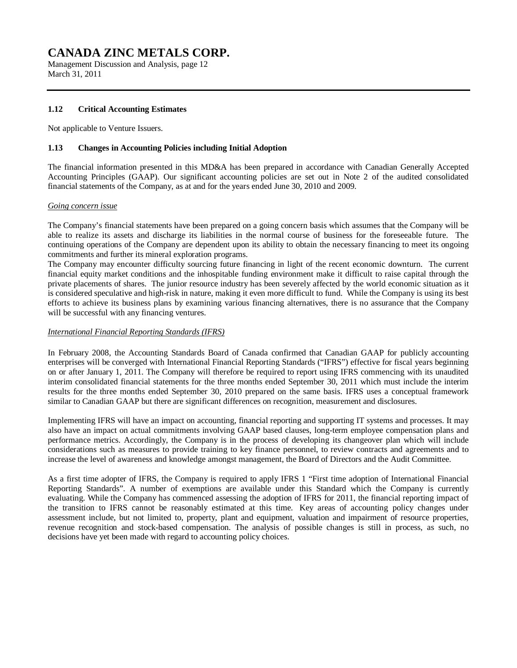Management Discussion and Analysis, page 12 March 31, 2011

### **1.12 Critical Accounting Estimates**

Not applicable to Venture Issuers.

#### **1.13 Changes in Accounting Policies including Initial Adoption**

The financial information presented in this MD&A has been prepared in accordance with Canadian Generally Accepted Accounting Principles (GAAP). Our significant accounting policies are set out in Note 2 of the audited consolidated financial statements of the Company, as at and for the years ended June 30, 2010 and 2009.

#### *Going concern issue*

The Company's financial statements have been prepared on a going concern basis which assumes that the Company will be able to realize its assets and discharge its liabilities in the normal course of business for the foreseeable future. The continuing operations of the Company are dependent upon its ability to obtain the necessary financing to meet its ongoing commitments and further its mineral exploration programs.

The Company may encounter difficulty sourcing future financing in light of the recent economic downturn. The current financial equity market conditions and the inhospitable funding environment make it difficult to raise capital through the private placements of shares. The junior resource industry has been severely affected by the world economic situation as it is considered speculative and high-risk in nature, making it even more difficult to fund. While the Company is using its best efforts to achieve its business plans by examining various financing alternatives, there is no assurance that the Company will be successful with any financing ventures.

#### *International Financial Reporting Standards (IFRS)*

In February 2008, the Accounting Standards Board of Canada confirmed that Canadian GAAP for publicly accounting enterprises will be converged with International Financial Reporting Standards ("IFRS") effective for fiscal years beginning on or after January 1, 2011. The Company will therefore be required to report using IFRS commencing with its unaudited interim consolidated financial statements for the three months ended September 30, 2011 which must include the interim results for the three months ended September 30, 2010 prepared on the same basis. IFRS uses a conceptual framework similar to Canadian GAAP but there are significant differences on recognition, measurement and disclosures.

Implementing IFRS will have an impact on accounting, financial reporting and supporting IT systems and processes. It may also have an impact on actual commitments involving GAAP based clauses, long-term employee compensation plans and performance metrics. Accordingly, the Company is in the process of developing its changeover plan which will include considerations such as measures to provide training to key finance personnel, to review contracts and agreements and to increase the level of awareness and knowledge amongst management, the Board of Directors and the Audit Committee.

As a first time adopter of IFRS, the Company is required to apply IFRS 1 "First time adoption of International Financial Reporting Standards". A number of exemptions are available under this Standard which the Company is currently evaluating. While the Company has commenced assessing the adoption of IFRS for 2011, the financial reporting impact of the transition to IFRS cannot be reasonably estimated at this time. Key areas of accounting policy changes under assessment include, but not limited to, property, plant and equipment, valuation and impairment of resource properties, revenue recognition and stock-based compensation. The analysis of possible changes is still in process, as such, no decisions have yet been made with regard to accounting policy choices.